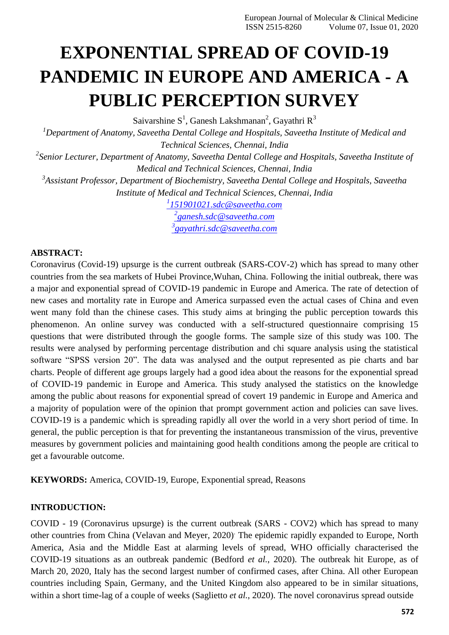# **EXPONENTIAL SPREAD OF COVID-19 PANDEMIC IN EUROPE AND AMERICA - A PUBLIC PERCEPTION SURVEY**

Saivarshine  $S^1$ , Ganesh Lakshmanan<sup>2</sup>, Gayathri R<sup>3</sup>

*<sup>1</sup>Department of Anatomy, Saveetha Dental College and Hospitals, Saveetha Institute of Medical and Technical Sciences, Chennai, India*

*2 Senior Lecturer, Department of Anatomy, Saveetha Dental College and Hospitals, Saveetha Institute of Medical and Technical Sciences, Chennai, India*

*3 Assistant Professor, Department of Biochemistry, Saveetha Dental College and Hospitals, Saveetha Institute of Medical and Technical Sciences, Chennai, India*

*1 [151901021.sdc@saveetha.com](mailto:1151901021.sdc@saveetha.com)*

*2 [ganesh.sdc@saveetha.com](mailto:2ganesh.sdc@saveetha.com) 3 [gayathri.sdc@saveetha.com](mailto:3gayathri.sdc@saveetha.com)*

#### **ABSTRACT:**

Coronavirus (Covid-19) upsurge is the current outbreak (SARS-COV-2) which has spread to many other countries from the sea markets of Hubei Province,Wuhan, China. Following the initial outbreak, there was a major and exponential spread of COVID-19 pandemic in Europe and America. The rate of detection of new cases and mortality rate in Europe and America surpassed even the actual cases of China and even went many fold than the chinese cases. This study aims at bringing the public perception towards this phenomenon. An online survey was conducted with a self-structured questionnaire comprising 15 questions that were distributed through the google forms. The sample size of this study was 100. The results were analysed by performing percentage distribution and chi square analysis using the statistical software "SPSS version 20". The data was analysed and the output represented as pie charts and bar charts. People of different age groups largely had a good idea about the reasons for the exponential spread of COVID-19 pandemic in Europe and America. This study analysed the statistics on the knowledge among the public about reasons for exponential spread of covert 19 pandemic in Europe and America and a majority of population were of the opinion that prompt government action and policies can save lives. COVID-19 is a pandemic which is spreading rapidly all over the world in a very short period of time. In general, the public perception is that for preventing the instantaneous transmission of the virus, preventive measures by government policies and maintaining good health conditions among the people are critical to get a favourable outcome.

**KEYWORDS:** America, COVID-19, Europe, Exponential spread, Reasons

#### **INTRODUCTION:**

COVID - 19 (Coronavirus upsurge) is the current outbreak (SARS - COV2) which has spread to many other countries from China [\(Velavan and Meyer, 2020\)](https://paperpile.com/c/7LG9TY/1iSc). The epidemic rapidly expanded to Europe, North America, Asia and the Middle East at alarming levels of spread, WHO officially characterised the COVID-19 situations as an outbreak pandemic [\(Bedford](https://paperpile.com/c/7LG9TY/OT45) *et al.*, 2020). The outbreak hit Europe, as of March 20, 2020, Italy has the second largest number of confirmed cases, after China. All other European countries including Spain, Germany, and the United Kingdom also appeared to be in similar situations, within a short time-lag of a couple of weeks [\(Saglietto](https://paperpile.com/c/7LG9TY/IUcI) *et al.*, 2020). The novel coronavirus spread outside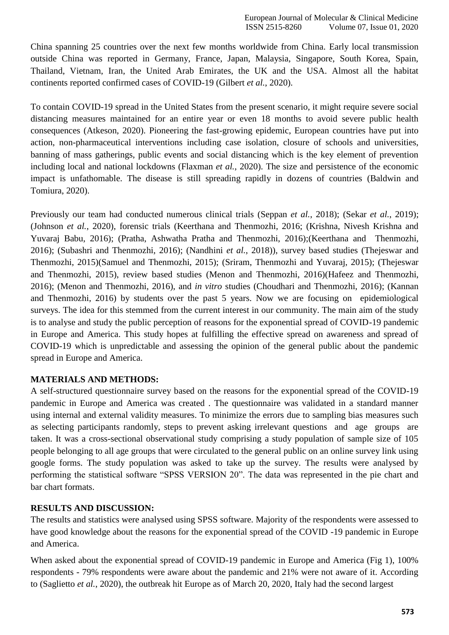China spanning 25 countries over the next few months worldwide from China. Early local transmission outside China was reported in Germany, France, Japan, Malaysia, Singapore, South Korea, Spain, Thailand, Vietnam, Iran, the United Arab Emirates, the UK and the USA. Almost all the habitat continents reported confirmed cases of COVID-19 [\(Gilbert](https://paperpile.com/c/7LG9TY/0EH0) *et al.*, 2020).

To contain COVID-19 spread in the United States from the present scenario, it might require severe social distancing measures maintained for an entire year or even 18 months to avoid severe public health consequences [\(Atkeson, 2020\). P](https://paperpile.com/c/7LG9TY/ojxI)ioneering the fast-growing epidemic, European countries have put into action, non-pharmaceutical interventions including case isolation, closure of schools and universities, banning of mass gatherings, public events and social distancing which is the key element of prevention including local and national lockdowns [\(Flaxman](https://paperpile.com/c/7LG9TY/zf5k) *et al.*, 2020). The size and persistence of the economic impact is unfathomable. The disease is still spreading rapidly in dozens of countries [\(Baldwin and](https://paperpile.com/c/7LG9TY/x3jx) [Tomiura,](https://paperpile.com/c/7LG9TY/x3jx) 2020).

Previously our team had conducted numerous clinical trials [\(Seppan](https://paperpile.com/c/7LG9TY/xPpe) *et al.*, 2018); (Sekar *et al.*[, 2019\);](https://paperpile.com/c/7LG9TY/uiwe) [\(Johnson](https://paperpile.com/c/7LG9TY/dJlG) *et al.*, 2020), forensic trials (Keerthana and Thenmozhi, 2016; [\(Krishna, Nivesh Krishna and](https://paperpile.com/c/7LG9TY/yUCD) [Yuvaraj Babu, 2016\);](https://paperpile.com/c/7LG9TY/yUCD) [\(Pratha, Ashwatha Pratha and Thenmozhi, 2016\);](https://paperpile.com/c/7LG9TY/J2rX)[\(Keerthana and Thenmozhi,](https://paperpile.com/c/7LG9TY/31hi) [2016\);](https://paperpile.com/c/7LG9TY/31hi) [\(Subashri and Thenmozhi, 2016\);](https://paperpile.com/c/7LG9TY/gnsm) [\(Nandhini](https://paperpile.com/c/7LG9TY/J97j) *et al.*, 2018)), survey based studies [\(Thejeswar and](https://paperpile.com/c/7LG9TY/xcMV) [Thenmozhi, 2015\)\(Samuel and Thenmozhi, 2015\);](https://paperpile.com/c/7LG9TY/xcMV) [\(Sriram, Thenmozhi and Yuvaraj, 2015\);](https://paperpile.com/c/7LG9TY/Fovi) [\(Thejeswar](https://paperpile.com/c/7LG9TY/xcMV) [and Thenmozhi, 2015\),](https://paperpile.com/c/7LG9TY/xcMV) review based studies [\(Menon and Thenmozhi, 2016\)\(Hafeez and Thenmozhi,](https://paperpile.com/c/7LG9TY/2W9O) [2016\);](https://paperpile.com/c/7LG9TY/oxqK) [\(Menon and Thenmozhi, 2016\),](https://paperpile.com/c/7LG9TY/2W9O) and *in vitro* studies [\(Choudhari and Thenmozhi, 2016\);](https://paperpile.com/c/7LG9TY/EfOy) [\(Kannan](https://paperpile.com/c/7LG9TY/z0gq) [and Thenmozhi, 2016\)](https://paperpile.com/c/7LG9TY/z0gq) by students over the past 5 years. Now we are focusing on epidemiological surveys. The idea for this stemmed from the current interest in our community. The main aim of the study is to analyse and study the public perception of reasons for the exponential spread of COVID-19 pandemic in Europe and America. This study hopes at fulfilling the effective spread on awareness and spread of COVID-19 which is unpredictable and assessing the opinion of the general public about the pandemic spread in Europe and America.

## **MATERIALS AND METHODS:**

A self-structured questionnaire survey based on the reasons for the exponential spread of the COVID-19 pandemic in Europe and America was created . The questionnaire was validated in a standard manner using internal and external validity measures. To minimize the errors due to sampling bias measures such as selecting participants randomly, steps to prevent asking irrelevant questions and age groups are taken. It was a cross-sectional observational study comprising a study population of sample size of 105 people belonging to all age groups that were circulated to the general public on an online survey link using google forms. The study population was asked to take up the survey. The results were analysed by performing the statistical software "SPSS VERSION 20". The data was represented in the pie chart and bar chart formats.

## **RESULTS AND DISCUSSION:**

The results and statistics were analysed using SPSS software. Majority of the respondents were assessed to have good knowledge about the reasons for the exponential spread of the COVID -19 pandemic in Europe and America.

When asked about the exponential spread of COVID-19 pandemic in Europe and America (Fig 1), 100% respondents - 79% respondents were aware about the pandemic and 21% were not aware of it. According to [\(Saglietto](https://paperpile.com/c/7LG9TY/IUcI) *et al.*, 2020), the outbreak hit Europe as of March 20, 2020, Italy had the second largest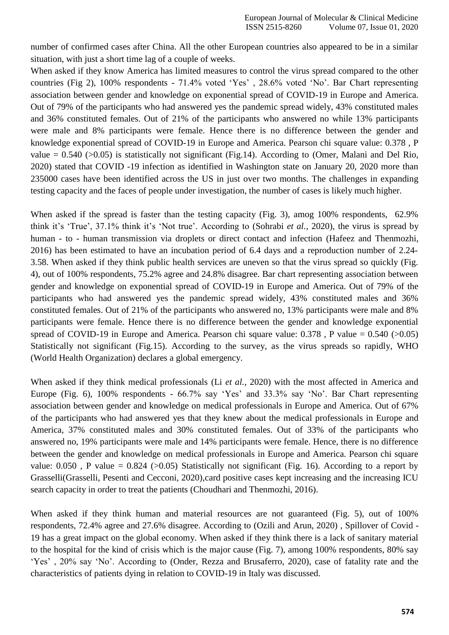number of confirmed cases after China. All the other European countries also appeared to be in a similar situation, with just a short time lag of a couple of weeks.

When asked if they know America has limited measures to control the virus spread compared to the other countries (Fig 2), 100% respondents - 71.4% voted "Yes" , 28.6% voted "No". Bar Chart representing association between gender and knowledge on exponential spread of COVID-19 in Europe and America. Out of 79% of the participants who had answered yes the pandemic spread widely, 43% constituted males and 36% constituted females. Out of 21% of the participants who answered no while 13% participants were male and 8% participants were female. Hence there is no difference between the gender and knowledge exponential spread of COVID-19 in Europe and America. Pearson chi square value: 0.378 , P value  $= 0.540$  ( $> 0.05$ ) is statistically not significant (Fig.14). According to [\(Omer, Malani and Del Rio,](https://paperpile.com/c/7LG9TY/WcX5) [2020\) s](https://paperpile.com/c/7LG9TY/WcX5)tated that COVID -19 infection as identified in Washington state on January 20, 2020 more than 235000 cases have been identified across the US in just over two months. The challenges in expanding testing capacity and the faces of people under investigation, the number of cases is likely much higher.

When asked if the spread is faster than the testing capacity (Fig. 3), amog 100% respondents, 62.9% think it's 'True', 37.1% think it's 'Not true'. According to [\(Sohrabi](https://paperpile.com/c/7LG9TY/fH45) *et al.*, 2020), the virus is spread by human - to - human transmission via droplets or direct contact and infection [\(Hafeez and Thenmozhi,](https://paperpile.com/c/7LG9TY/oxqK) [2016\)](https://paperpile.com/c/7LG9TY/oxqK) has been estimated to have an incubation period of 6.4 days and a reproduction number of 2.24- 3.58. When asked if they think public health services are uneven so that the virus spread so quickly (Fig. 4), out of 100% respondents, 75.2% agree and 24.8% disagree. Bar chart representing association between gender and knowledge on exponential spread of COVID-19 in Europe and America. Out of 79% of the participants who had answered yes the pandemic spread widely, 43% constituted males and 36% constituted females. Out of 21% of the participants who answered no, 13% participants were male and 8% participants were female. Hence there is no difference between the gender and knowledge exponential spread of COVID-19 in Europe and America. Pearson chi square value:  $0.378$ , P value =  $0.540$  ( $>0.05$ ) Statistically not significant (Fig.15). According to the survey, as the virus spreads so rapidly, WHO (World Health Organization) declares a global emergency.

When asked if they think medical professionals (Li *et al.*[, 2020\) w](https://paperpile.com/c/7LG9TY/BMNb)ith the most affected in America and Europe (Fig. 6), 100% respondents - 66.7% say 'Yes' and 33.3% say 'No'. Bar Chart representing association between gender and knowledge on medical professionals in Europe and America. Out of 67% of the participants who had answered yes that they knew about the medical professionals in Europe and America, 37% constituted males and 30% constituted females. Out of 33% of the participants who answered no, 19% participants were male and 14% participants were female. Hence, there is no difference between the gender and knowledge on medical professionals in Europe and America. Pearson chi square value:  $0.050$ , P value =  $0.824$  ( $>0.05$ ) Statistically not significant (Fig. 16). According to a report by Grassell[i\(Grasselli, Pesenti and Cecconi, 2020\),](https://paperpile.com/c/7LG9TY/bGq5)card positive cases kept increasing and the increasing ICU search capacity in order to treat the patients [\(Choudhari and Thenmozhi, 2016\).](https://paperpile.com/c/7LG9TY/EfOy)

When asked if they think human and material resources are not guaranteed (Fig. 5), out of 100% respondents, 72.4% agree and 27.6% disagree. According to [\(Ozili and Arun, 2020\) ,](https://paperpile.com/c/7LG9TY/6NxM) Spillover of Covid - 19 has a great impact on the global economy. When asked if they think there is a lack of sanitary material to the hospital for the kind of crisis which is the major cause (Fig. 7), among 100% respondents, 80% say "Yes", 20% say 'No'. According to [\(Onder, Rezza and Brusaferro, 2020\),](https://paperpile.com/c/7LG9TY/IYA3) case of fatality rate and the characteristics of patients dying in relation to COVID-19 in Italy was discussed.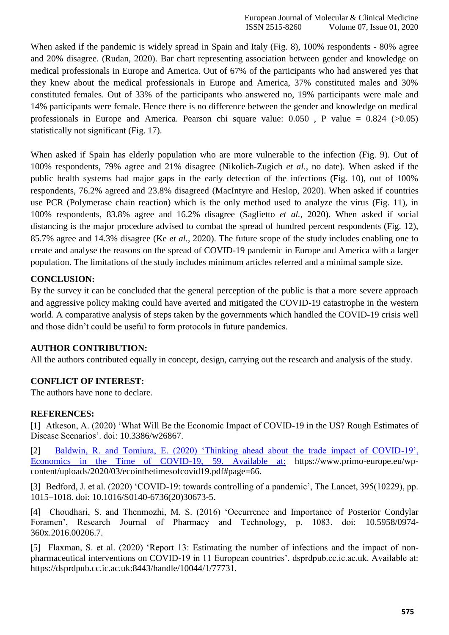When asked if the pandemic is widely spread in Spain and Italy (Fig. 8), 100% respondents - 80% agree and 20% disagree. [\(Rudan, 2020\).](https://paperpile.com/c/7LG9TY/e3g2) Bar chart representing association between gender and knowledge on medical professionals in Europe and America. Out of 67% of the participants who had answered yes that they knew about the medical professionals in Europe and America, 37% constituted males and 30% constituted females. Out of 33% of the participants who answered no, 19% participants were male and 14% participants were female. Hence there is no difference between the gender and knowledge on medical professionals in Europe and America. Pearson chi square value:  $0.050$ , P value =  $0.824$  ( $>0.05$ ) statistically not significant (Fig. 17).

When asked if Spain has elderly population who are more vulnerable to the infection (Fig. 9). Out of 100% respondents, 79% agree and 21% disagree [\(Nikolich-Zugich](https://paperpile.com/c/7LG9TY/h6Tf) *et al.*, no date). When asked if the public health systems had major gaps in the early detection of the infections (Fig. 10), out of 100% respondents, 76.2% agreed and 23.8% disagreed [\(MacIntyre and Heslop, 2020\).](https://paperpile.com/c/7LG9TY/PHTt) When asked if countries use PCR (Polymerase chain reaction) which is the only method used to analyze the virus (Fig. 11), in 100% respondents, 83.8% agree and 16.2% disagree [\(Saglietto](https://paperpile.com/c/7LG9TY/IUcI) *et al.*, 2020). When asked if social distancing is the major procedure advised to combat the spread of hundred percent respondents (Fig. 12), 85.7% agree and 14.3% disagree (Ke *et al.*[, 2020\). T](https://paperpile.com/c/7LG9TY/Xlii)he future scope of the study includes enabling one to create and analyse the reasons on the spread of COVID-19 pandemic in Europe and America with a larger population. The limitations of the study includes minimum articles referred and a minimal sample size.

## **CONCLUSION:**

By the survey it can be concluded that the general perception of the public is that a more severe approach and aggressive policy making could have averted and mitigated the COVID-19 catastrophe in the western world. A comparative analysis of steps taken by the governments which handled the COVID-19 crisis well and those didn"t could be useful to form protocols in future pandemics.

## **AUTHOR CONTRIBUTION:**

All the authors contributed equally in concept, design, carrying out the research and analysis of the study.

# **CONFLICT OF INTEREST:**

The authors have none to declare.

## **REFERENCES:**

[1] [Atkeson, A. \(2020\) "What Will Be the Economic Impact of COVID-19 in the US? Rough Estimates of](http://paperpile.com/b/7LG9TY/ojxI) [Disease Scenarios". doi:](http://paperpile.com/b/7LG9TY/ojxI) [10.3386/w26867](http://paperpile.com/b/7LG9TY/ojxI)[.](http://dx.doi.org/10.3386/w26867)

[2] Baldwin, R. and Tomiura, E. (2020) "Thinking ahead about the trade impact of COVID-19", Economics in the Time of COVID-19, 59. Available at: [https://www.primo-europe.eu/wp](https://www.primo-europe.eu/wp-content/uploads/2020/03/ecointhetimesofcovid19.pdf#page%3D66)[content/uploads/2020/03/ecointhetimesofcovid19.pdf#page=66.](https://www.primo-europe.eu/wp-content/uploads/2020/03/ecointhetimesofcovid19.pdf#page%3D66)

[3] Bedford, J. et al. (2020) 'COVID-19: towards controlling of a pandemic', The Lancet, 395(10229), pp. [1015–1018. doi:](http://paperpile.com/b/7LG9TY/OT45) [10.1016/S0140-6736\(20\)30673-5](http://paperpile.com/b/7LG9TY/OT45)[.](http://dx.doi.org/10.1016/S0140-6736(20)30673-5)

[4] [Choudhari, S. and Thenmozhi, M. S. \(2016\) "Occurrence and Importance of Posterior Condylar](http://paperpile.com/b/7LG9TY/EfOy) [Foramen", Research Journal of Pharmacy and Technology, p. 1083. doi:](http://paperpile.com/b/7LG9TY/EfOy) [10.5958/0974-](http://dx.doi.org/10.5958/0974-360x.2016.00206.7) [360x.2016.00206.7.](http://dx.doi.org/10.5958/0974-360x.2016.00206.7)

[5] [Flaxman, S. et al. \(2020\) "Report 13: Estimating the number of infections and the impact of](http://paperpile.com/b/7LG9TY/zf5k) nonpharmaceutical interventions on COVID-19 in 11 European countries'. dsprdpub.cc.ic.ac.uk. Available at: https://dsprdpub.cc.ic.ac.uk:8443/handle/10044/1/77731.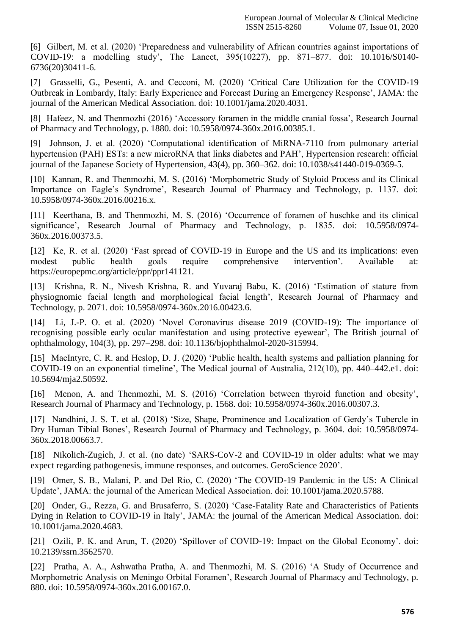[6] [Gilbert, M. et al. \(2020\) "Preparedness and vulnerability of African countries against importations of](http://paperpile.com/b/7LG9TY/0EH0) [COVID-19: a modelling study", The Lancet, 395\(10227\), pp. 871–877. doi:](http://paperpile.com/b/7LG9TY/0EH0) [10.1016/S0140-](http://dx.doi.org/10.1016/S0140-6736(20)30411-6) [6736\(20\)30411-6.](http://dx.doi.org/10.1016/S0140-6736(20)30411-6)

[7] [Grasselli, G., Pesenti, A. and Cecconi, M. \(2020\) "Critical Care Utilization for the COVID-19](http://paperpile.com/b/7LG9TY/bGq5) [Outbreak in Lombardy, Italy: Early Experience and Forecast During an Emergency Response", JAMA: the](http://paperpile.com/b/7LG9TY/bGq5) [journal of the American Medical Association. doi:](http://paperpile.com/b/7LG9TY/bGq5) [10.1001/jama.2020.4031.](http://paperpile.com/b/7LG9TY/bGq5)

[8] Hafeez, N. and Thenmozhi (2016) 'Accessory foramen in the middle cranial fossa', Research Journal [of Pharmacy and Technology, p. 1880. doi:](http://paperpile.com/b/7LG9TY/oxqK) [10.5958/0974-360x.2016.00385.1](http://paperpile.com/b/7LG9TY/oxqK)[.](http://dx.doi.org/10.5958/0974-360x.2016.00385.1)

[9] [Johnson, J. et al. \(2020\) "Computational identification of MiRNA-7110 from pulmonary arterial](http://paperpile.com/b/7LG9TY/dJlG) [hypertension \(PAH\) ESTs: a new microRNA that links diabetes and PAH", Hypertension research: official](http://paperpile.com/b/7LG9TY/dJlG) [journal of the Japanese Society of Hypertension, 43\(4\), pp. 360–362. doi:](http://paperpile.com/b/7LG9TY/dJlG) [10.1038/s41440-019-0369-5.](http://paperpile.com/b/7LG9TY/dJlG)

[10] Kannan, R. and Thenmozhi, M. S. (2016) 'Morphometric Study of Styloid Process and its Clinical Importance on Eagle's Syndrome', Research Journal of Pharmacy and Technology, p. 1137. doi: [10.5958/0974-360x.2016.00216.x.](http://dx.doi.org/10.5958/0974-360x.2016.00216.x)

[11] [Keerthana, B. and Thenmozhi, M. S. \(2016\) "Occurrence of foramen of huschke and its clinical](http://paperpile.com/b/7LG9TY/31hi) significance', Research Journal of Pharmacy and Technology, p. 1835. doi: [10.5958/0974-](http://dx.doi.org/10.5958/0974-360x.2016.00373.5) [360x.2016.00373.5.](http://dx.doi.org/10.5958/0974-360x.2016.00373.5)

[12] Ke, R. et al. (2020) 'Fast spread of COVID-19 in Europe and the US and its implications: even modest public health goals require comprehensive intervention'. Available at: [https://europepmc.org/article/ppr/ppr141121.](https://europepmc.org/article/ppr/ppr141121)

[13] [Krishna, R. N., Nivesh Krishna, R. and Yuvaraj Babu, K. \(2016\) "Estimation of stature from](http://paperpile.com/b/7LG9TY/yUCD) [physiognomic facial length and morphological facial length", Research Journal of Pharmacy and](http://paperpile.com/b/7LG9TY/yUCD) [Technology, p. 2071. doi:](http://paperpile.com/b/7LG9TY/yUCD) [10.5958/0974-360x.2016.00423.6.](http://paperpile.com/b/7LG9TY/yUCD)

[14] Li, J.-P. O. et al. (2020) 'Novel Coronavirus disease 2019 (COVID-19): The importance of recognising possible early ocular manifestation and using protective eyewear', The British journal of [ophthalmology, 104\(3\), pp. 297–298. doi:](http://paperpile.com/b/7LG9TY/BMNb) [10.1136/bjophthalmol-2020-315994.](http://paperpile.com/b/7LG9TY/BMNb)

[15] MacIntyre, C. R. and Heslop, D. J. (2020) 'Public health, health systems and palliation planning for [COVID-19 on an exponential timeline", The Medical journal of Australia, 212\(10\), pp. 440–442.e1. doi:](http://paperpile.com/b/7LG9TY/PHTt) [10.5694/mja2.50592.](http://dx.doi.org/10.5694/mja2.50592)

[16] Menon, A. and Thenmozhi, M. S. (2016) 'Correlation between thyroid function and obesity', [Research Journal of Pharmacy and Technology, p. 1568. doi:](http://paperpile.com/b/7LG9TY/2W9O) [10.5958/0974-360x.2016.00307.3](http://paperpile.com/b/7LG9TY/2W9O)[.](http://dx.doi.org/10.5958/0974-360x.2016.00307.3)

[17] Nandhini, J. S. T. et al. (2018) 'Size, Shape, Prominence and Localization of Gerdy's Tubercle in Dry Human Tibial Bones', Research Journal of Pharmacy and Technology, p. 3604. doi: [10.5958/0974-](http://dx.doi.org/10.5958/0974-360x.2018.00663.7) [360x.2018.00663.7.](http://dx.doi.org/10.5958/0974-360x.2018.00663.7)

[18] [Nikolich-Zugich, J. et al. \(no date\) "SARS-CoV-2 and COVID-19 in older adults: what we may](http://paperpile.com/b/7LG9TY/h6Tf) [expect regarding pathogenesis, immune responses, and outcomes. GeroScience](http://paperpile.com/b/7LG9TY/h6Tf) 2020".

[19] [Omer, S. B., Malani, P. and Del Rio, C. \(2020\) "The COVID-19 Pandemic in the US: A Clinical](http://paperpile.com/b/7LG9TY/WcX5) [Update", JAMA: the journal of the American Medical Association. doi:](http://paperpile.com/b/7LG9TY/WcX5) [10.1001/jama.2020.5788](http://paperpile.com/b/7LG9TY/WcX5)[.](http://dx.doi.org/10.1001/jama.2020.5788)

[20] Onder, G., Rezza, G. and Brusaferro, S. (2020) 'Case-Fatality Rate and Characteristics of Patients [Dying in Relation to COVID-19 in Italy", JAMA: the journal of the American Medical Association. doi:](http://paperpile.com/b/7LG9TY/IYA3) [10.1001/jama.2020.4683.](http://dx.doi.org/10.1001/jama.2020.4683)

[21] Ozili, P. K. and Arun, T. (2020) 'Spillover of COVID-19: Impact on the Global Economy'. doi: [10.2139/ssrn.3562570.](http://dx.doi.org/10.2139/ssrn.3562570)

[22] [Pratha, A. A., Ashwatha Pratha, A. and Thenmozhi, M. S. \(2016\) "A Study of Occurrence and](http://paperpile.com/b/7LG9TY/J2rX) [Morphometric Analysis on Meningo Orbital Foramen", Research Journal of Pharmacy and Technology, p.](http://paperpile.com/b/7LG9TY/J2rX) [880. doi:](http://paperpile.com/b/7LG9TY/J2rX) [10.5958/0974-360x.2016.00167.0.](http://paperpile.com/b/7LG9TY/J2rX)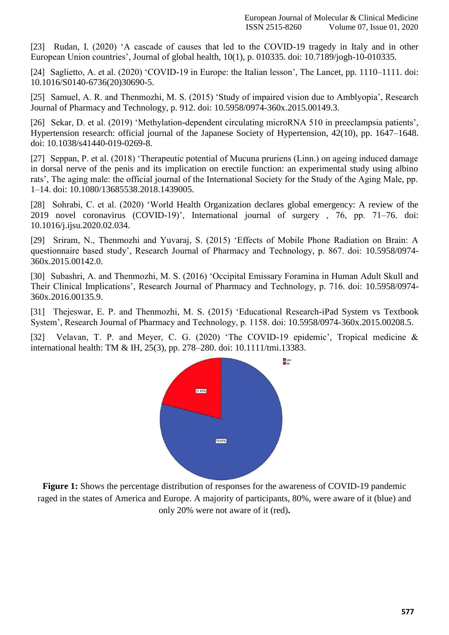[23] Rudan, I. (2020) 'A cascade of causes that led to the COVID-19 tragedy in Italy and in other [European Union countries", Journal of global health, 10\(1\), p. 010335. doi:](http://paperpile.com/b/7LG9TY/e3g2) [10.7189/jogh-10-010335.](http://paperpile.com/b/7LG9TY/e3g2)

[24] Saglietto, A. et al. (2020) 'COVID-19 in Europe: the Italian lesson', The Lancet, pp. 1110–1111. doi: [10.1016/S0140-6736\(20\)30690-5.](http://dx.doi.org/10.1016/S0140-6736(20)30690-5)

[25] Samuel, A. R. and Thenmozhi, M. S. (2015) 'Study of impaired vision due to Amblyopia', Research [Journal of Pharmacy and Technology, p. 912. doi:](http://paperpile.com/b/7LG9TY/H2fO) [10.5958/0974-360x.2015.00149.3](http://paperpile.com/b/7LG9TY/H2fO)[.](http://dx.doi.org/10.5958/0974-360x.2015.00149.3)

[26] Sekar, D. et al. (2019) 'Methylation-dependent circulating microRNA 510 in preeclampsia patients', [Hypertension research: official journal of the Japanese Society of Hypertension, 42\(10\), pp. 1647–1648.](http://paperpile.com/b/7LG9TY/uiwe) [doi: 10.1038/s41440-019-0269-8.](http://paperpile.com/b/7LG9TY/uiwe)

[27] [Seppan, P. et al. \(2018\) "Therapeutic potential of Mucuna pruriens \(Linn.\) on ageing induced damage](http://paperpile.com/b/7LG9TY/xPpe) [in dorsal nerve of the penis and its implication on erectile function: an experimental study using albino](http://paperpile.com/b/7LG9TY/xPpe) [rats", The aging male: the official journal of the International Society for the Study of the Aging Male, pp.](http://paperpile.com/b/7LG9TY/xPpe) [1–14. doi: 10.1080/13685538.2018.1439005](http://paperpile.com/b/7LG9TY/xPpe)[.](http://dx.doi.org/10.1080/13685538.2018.1439005)

[28] Sohrabi, C. et al. (2020) 'World [Health Organization declares global emergency: A review of the](http://paperpile.com/b/7LG9TY/fH45) 2019 novel coronavirus (COVID-19)', International journal of surgery , 76, pp. 71–76. doi: [10.1016/j.ijsu.2020.02.034.](http://dx.doi.org/10.1016/j.ijsu.2020.02.034)

[29] [Sriram, N., Thenmozhi and Yuvaraj, S. \(2015\) "Effects of Mobile Phone Radiation on Brain: A](http://paperpile.com/b/7LG9TY/Fovi) [questionnaire based study", Research Journal of Pharmacy and Technology, p. 867. doi:](http://paperpile.com/b/7LG9TY/Fovi) [10.5958/0974-](http://dx.doi.org/10.5958/0974-360x.2015.00142.0) [360x.2015.00142.0.](http://dx.doi.org/10.5958/0974-360x.2015.00142.0)

[30] [Subashri, A. and Thenmozhi, M. S. \(2016\) "Occipital Emissary Foramina in Human Adult Skull and](http://paperpile.com/b/7LG9TY/gnsm) [Their Clinical Implications", Research Journal of Pharmacy and Technology, p. 716. doi: 10.5958/0974-](http://paperpile.com/b/7LG9TY/gnsm) [360x.2016.00135.9](http://dx.doi.org/10.5958/0974-360x.2016.00135.9)[.](http://paperpile.com/b/7LG9TY/gnsm)

[31] [Thejeswar, E. P. and Thenmozhi, M. S. \(2015\) "Educational Research-iPad System vs Textbook](http://paperpile.com/b/7LG9TY/xcMV) [System", Research Journal of Pharmacy and Technology, p. 1158. doi:](http://paperpile.com/b/7LG9TY/xcMV) [10.5958/0974-360x.2015.00208.5](http://paperpile.com/b/7LG9TY/xcMV)[.](http://dx.doi.org/10.5958/0974-360x.2015.00208.5)

[32] Velavan, T. P. and Meyer, C. G. (2020) 'The COVID-19 epidemic', Tropical medicine & [international health: TM & IH, 25\(3\), pp. 278–280. doi:](http://paperpile.com/b/7LG9TY/1iSc) [10.1111/tmi.13383](http://paperpile.com/b/7LG9TY/1iSc)[.](http://dx.doi.org/10.1111/tmi.13383)



**Figure 1:** Shows the percentage distribution of responses for the awareness of COVID-19 pandemic raged in the states of America and Europe. A majority of participants, 80%, were aware of it (blue) and only 20% were not aware of it (red)**.**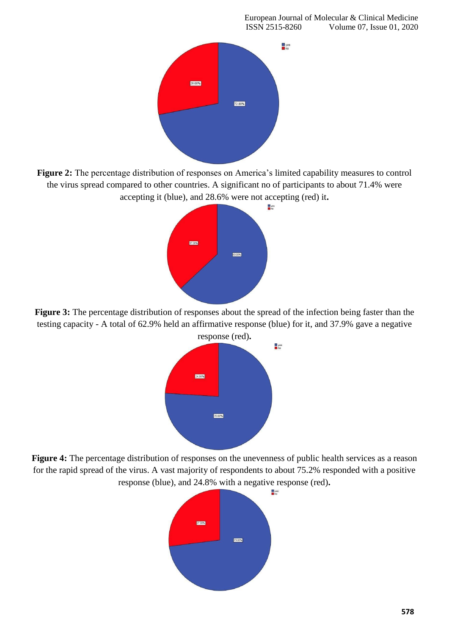

Figure 2: The percentage distribution of responses on America's limited capability measures to control the virus spread compared to other countries. A significant no of participants to about 71.4% were accepting it (blue), and 28.6% were not accepting (red) it**.**



**Figure 3:** The percentage distribution of responses about the spread of the infection being faster than the testing capacity - A total of 62.9% held an affirmative response (blue) for it, and 37.9% gave a negative



**Figure 4:** The percentage distribution of responses on the unevenness of public health services as a reason for the rapid spread of the virus. A vast majority of respondents to about 75.2% responded with a positive response (blue), and 24.8% with a negative response (red)**.**

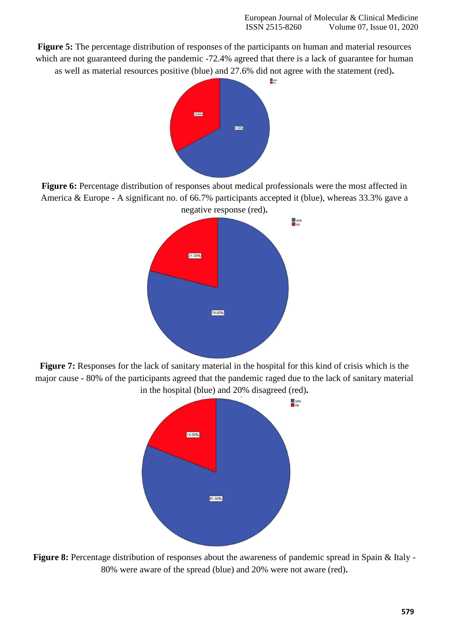**Figure 5:** The percentage distribution of responses of the participants on human and material resources which are not guaranteed during the pandemic -72.4% agreed that there is a lack of guarantee for human as well as material resources positive (blue) and 27.6% did not agree with the statement (red)**.**



Figure 6: Percentage distribution of responses about medical professionals were the most affected in America & Europe - A significant no. of 66.7% participants accepted it (blue), whereas 33.3% gave a negative response (red)**.**



**Figure 7:** Responses for the lack of sanitary material in the hospital for this kind of crisis which is the major cause - 80% of the participants agreed that the pandemic raged due to the lack of sanitary material in the hospital (blue) and 20% disagreed (red)**.**



Figure 8: Percentage distribution of responses about the awareness of pandemic spread in Spain & Italy -80% were aware of the spread (blue) and 20% were not aware (red)**.**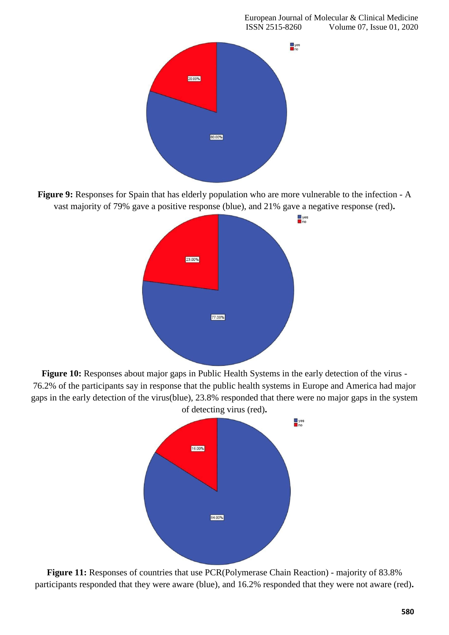

**Figure 9:** Responses for Spain that has elderly population who are more vulnerable to the infection - A vast majority of 79% gave a positive response (blue), and 21% gave a negative response (red)**.**



**Figure 10:** Responses about major gaps in Public Health Systems in the early detection of the virus - 76.2% of the participants say in response that the public health systems in Europe and America had major gaps in the early detection of the virus(blue), 23.8% responded that there were no major gaps in the system of detecting virus (red)**.**



**Figure 11:** Responses of countries that use PCR(Polymerase Chain Reaction) - majority of 83.8% participants responded that they were aware (blue), and 16.2% responded that they were not aware (red)**.**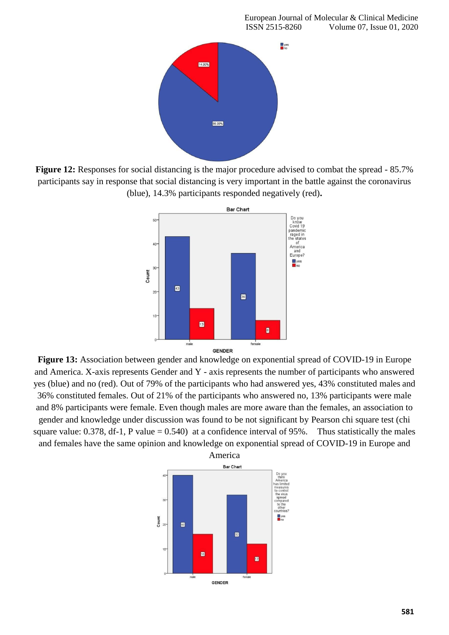

**Figure 12:** Responses for social distancing is the major procedure advised to combat the spread - 85.7% participants say in response that social distancing is very important in the battle against the coronavirus (blue), 14.3% participants responded negatively (red)**.**



**Figure 13:** Association between gender and knowledge on exponential spread of COVID-19 in Europe and America. X-axis represents Gender and Y - axis represents the number of participants who answered yes (blue) and no (red). Out of 79% of the participants who had answered yes, 43% constituted males and 36% constituted females. Out of 21% of the participants who answered no, 13% participants were male and 8% participants were female. Even though males are more aware than the females, an association to gender and knowledge under discussion was found to be not significant by Pearson chi square test (chi square value: 0.378, df-1, P value  $= 0.540$  at a confidence interval of 95%. Thus statistically the males and females have the same opinion and knowledge on exponential spread of COVID-19 in Europe and

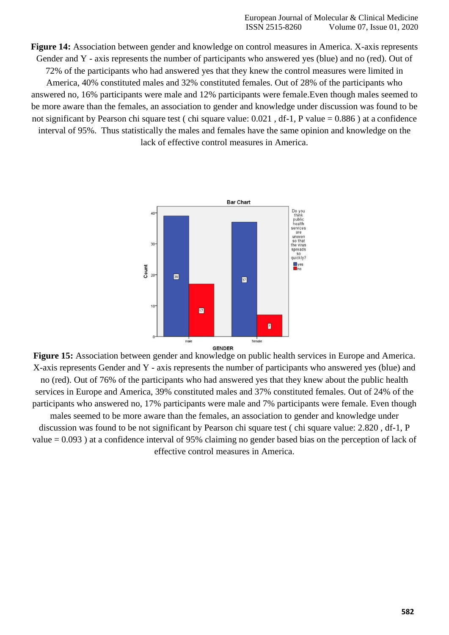**Figure 14:** Association between gender and knowledge on control measures in America. X-axis represents Gender and Y - axis represents the number of participants who answered yes (blue) and no (red). Out of 72% of the participants who had answered yes that they knew the control measures were limited in America, 40% constituted males and 32% constituted females. Out of 28% of the participants who answered no, 16% participants were male and 12% participants were female.Even though males seemed to be more aware than the females, an association to gender and knowledge under discussion was found to be not significant by Pearson chi square test ( chi square value: 0.021 , df-1, P value = 0.886 ) at a confidence interval of 95%. Thus statistically the males and females have the same opinion and knowledge on the lack of effective control measures in America.



**Figure 15:** Association between gender and knowledge on public health services in Europe and America. X-axis represents Gender and Y - axis represents the number of participants who answered yes (blue) and no (red). Out of 76% of the participants who had answered yes that they knew about the public health services in Europe and America, 39% constituted males and 37% constituted females. Out of 24% of the participants who answered no, 17% participants were male and 7% participants were female. Even though males seemed to be more aware than the females, an association to gender and knowledge under discussion was found to be not significant by Pearson chi square test ( chi square value: 2.820 , df-1, P value = 0.093 ) at a confidence interval of 95% claiming no gender based bias on the perception of lack of effective control measures in America.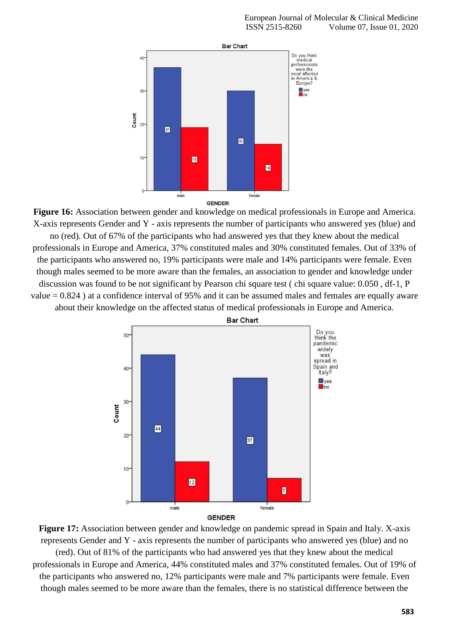

**Figure 16:** Association between gender and knowledge on medical professionals in Europe and America. X-axis represents Gender and Y - axis represents the number of participants who answered yes (blue) and no (red). Out of 67% of the participants who had answered yes that they knew about the medical professionals in Europe and America, 37% constituted males and 30% constituted females. Out of 33% of the participants who answered no, 19% participants were male and 14% participants were female. Even though males seemed to be more aware than the females, an association to gender and knowledge under discussion was found to be not significant by Pearson chi square test ( chi square value: 0.050 , df-1, P value = 0.824 ) at a confidence interval of 95% and it can be assumed males and females are equally aware about their knowledge on the affected status of medical professionals in Europe and America.



**GENDER** 

**Figure 17:** Association between gender and knowledge on pandemic spread in Spain and Italy. X-axis represents Gender and Y - axis represents the number of participants who answered yes (blue) and no (red). Out of 81% of the participants who had answered yes that they knew about the medical professionals in Europe and America, 44% constituted males and 37% constituted females. Out of 19% of the participants who answered no, 12% participants were male and 7% participants were female. Even though males seemed to be more aware than the females, there is no statistical difference between the